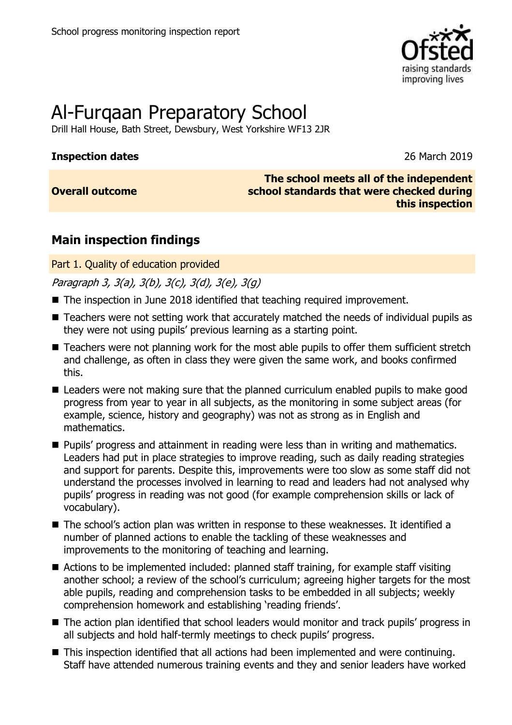

# Al-Furqaan Preparatory School

Drill Hall House, Bath Street, Dewsbury, West Yorkshire WF13 2JR

#### **Inspection dates** 26 March 2019

**Overall outcome**

**The school meets all of the independent school standards that were checked during this inspection**

## **Main inspection findings**

Part 1. Quality of education provided

Paragraph 3, 3(a), 3(b), 3(c), 3(d), 3(e), 3(g)

- The inspection in June 2018 identified that teaching required improvement.
- Teachers were not setting work that accurately matched the needs of individual pupils as they were not using pupils' previous learning as a starting point.
- Teachers were not planning work for the most able pupils to offer them sufficient stretch and challenge, as often in class they were given the same work, and books confirmed this.
- Leaders were not making sure that the planned curriculum enabled pupils to make good progress from year to year in all subjects, as the monitoring in some subject areas (for example, science, history and geography) was not as strong as in English and mathematics.
- **Pupils' progress and attainment in reading were less than in writing and mathematics.** Leaders had put in place strategies to improve reading, such as daily reading strategies and support for parents. Despite this, improvements were too slow as some staff did not understand the processes involved in learning to read and leaders had not analysed why pupils' progress in reading was not good (for example comprehension skills or lack of vocabulary).
- The school's action plan was written in response to these weaknesses. It identified a number of planned actions to enable the tackling of these weaknesses and improvements to the monitoring of teaching and learning.
- Actions to be implemented included: planned staff training, for example staff visiting another school; a review of the school's curriculum; agreeing higher targets for the most able pupils, reading and comprehension tasks to be embedded in all subjects; weekly comprehension homework and establishing 'reading friends'.
- The action plan identified that school leaders would monitor and track pupils' progress in all subjects and hold half-termly meetings to check pupils' progress.
- This inspection identified that all actions had been implemented and were continuing. Staff have attended numerous training events and they and senior leaders have worked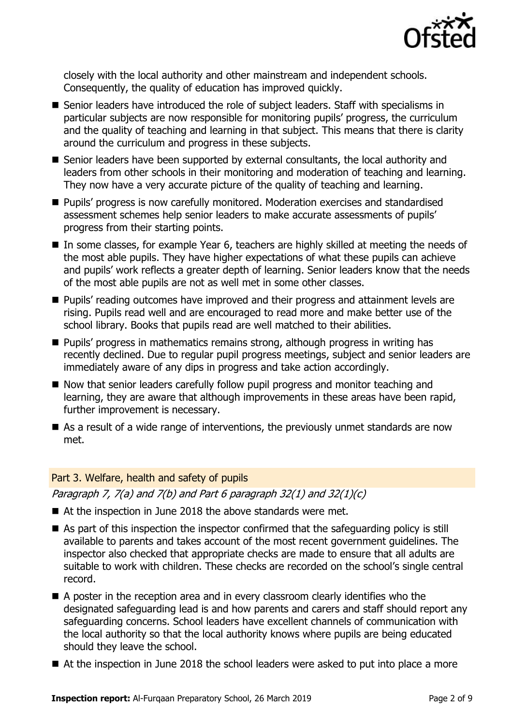

closely with the local authority and other mainstream and independent schools. Consequently, the quality of education has improved quickly.

- Senior leaders have introduced the role of subject leaders. Staff with specialisms in particular subjects are now responsible for monitoring pupils' progress, the curriculum and the quality of teaching and learning in that subject. This means that there is clarity around the curriculum and progress in these subjects.
- Senior leaders have been supported by external consultants, the local authority and leaders from other schools in their monitoring and moderation of teaching and learning. They now have a very accurate picture of the quality of teaching and learning.
- Pupils' progress is now carefully monitored. Moderation exercises and standardised assessment schemes help senior leaders to make accurate assessments of pupils' progress from their starting points.
- In some classes, for example Year 6, teachers are highly skilled at meeting the needs of the most able pupils. They have higher expectations of what these pupils can achieve and pupils' work reflects a greater depth of learning. Senior leaders know that the needs of the most able pupils are not as well met in some other classes.
- **Pupils'** reading outcomes have improved and their progress and attainment levels are rising. Pupils read well and are encouraged to read more and make better use of the school library. Books that pupils read are well matched to their abilities.
- **Pupils' progress in mathematics remains strong, although progress in writing has** recently declined. Due to regular pupil progress meetings, subject and senior leaders are immediately aware of any dips in progress and take action accordingly.
- $\blacksquare$  Now that senior leaders carefully follow pupil progress and monitor teaching and learning, they are aware that although improvements in these areas have been rapid, further improvement is necessary.
- As a result of a wide range of interventions, the previously unmet standards are now met.

#### Part 3. Welfare, health and safety of pupils

Paragraph 7,  $7(a)$  and  $7(b)$  and Part 6 paragraph 32(1) and 32(1)(c)

- At the inspection in June 2018 the above standards were met.
- As part of this inspection the inspector confirmed that the safeguarding policy is still available to parents and takes account of the most recent government guidelines. The inspector also checked that appropriate checks are made to ensure that all adults are suitable to work with children. These checks are recorded on the school's single central record.
- A poster in the reception area and in every classroom clearly identifies who the designated safeguarding lead is and how parents and carers and staff should report any safeguarding concerns. School leaders have excellent channels of communication with the local authority so that the local authority knows where pupils are being educated should they leave the school.
- At the inspection in June 2018 the school leaders were asked to put into place a more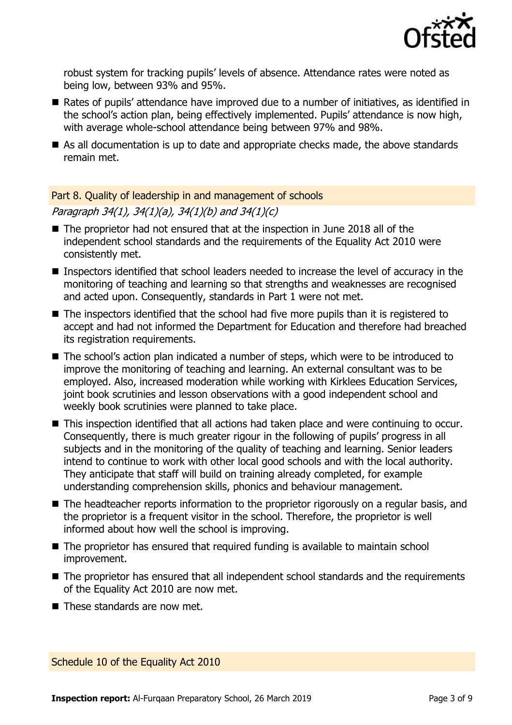

robust system for tracking pupils' levels of absence. Attendance rates were noted as being low, between 93% and 95%.

- Rates of pupils' attendance have improved due to a number of initiatives, as identified in the school's action plan, being effectively implemented. Pupils' attendance is now high, with average whole-school attendance being between 97% and 98%.
- As all documentation is up to date and appropriate checks made, the above standards remain met.

#### Part 8. Quality of leadership in and management of schools

Paragraph 34(1), 34(1)(a), 34(1)(b) and 34(1)(c)

- The proprietor had not ensured that at the inspection in June 2018 all of the independent school standards and the requirements of the Equality Act 2010 were consistently met.
- Inspectors identified that school leaders needed to increase the level of accuracy in the monitoring of teaching and learning so that strengths and weaknesses are recognised and acted upon. Consequently, standards in Part 1 were not met.
- The inspectors identified that the school had five more pupils than it is registered to accept and had not informed the Department for Education and therefore had breached its registration requirements.
- The school's action plan indicated a number of steps, which were to be introduced to improve the monitoring of teaching and learning. An external consultant was to be employed. Also, increased moderation while working with Kirklees Education Services, joint book scrutinies and lesson observations with a good independent school and weekly book scrutinies were planned to take place.
- This inspection identified that all actions had taken place and were continuing to occur. Consequently, there is much greater rigour in the following of pupils' progress in all subjects and in the monitoring of the quality of teaching and learning. Senior leaders intend to continue to work with other local good schools and with the local authority. They anticipate that staff will build on training already completed, for example understanding comprehension skills, phonics and behaviour management.
- The headteacher reports information to the proprietor rigorously on a regular basis, and the proprietor is a frequent visitor in the school. Therefore, the proprietor is well informed about how well the school is improving.
- The proprietor has ensured that required funding is available to maintain school improvement.
- The proprietor has ensured that all independent school standards and the requirements of the Equality Act 2010 are now met.
- These standards are now met.

Schedule 10 of the Equality Act 2010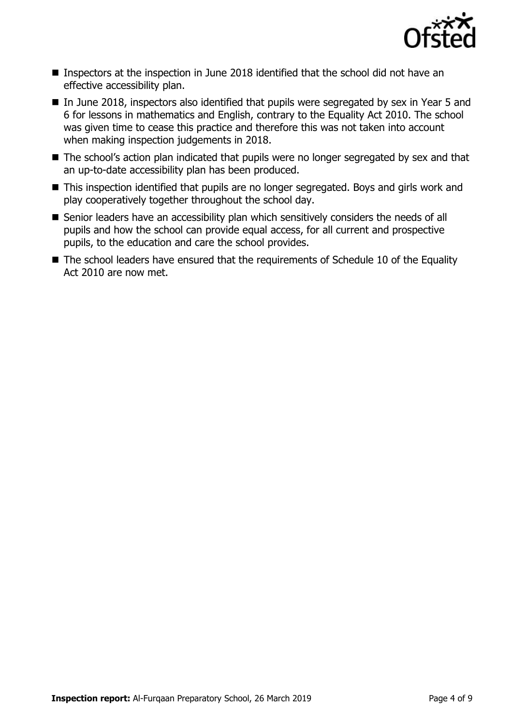

- Inspectors at the inspection in June 2018 identified that the school did not have an effective accessibility plan.
- In June 2018, inspectors also identified that pupils were segregated by sex in Year 5 and 6 for lessons in mathematics and English, contrary to the Equality Act 2010. The school was given time to cease this practice and therefore this was not taken into account when making inspection judgements in 2018.
- The school's action plan indicated that pupils were no longer segregated by sex and that an up-to-date accessibility plan has been produced.
- This inspection identified that pupils are no longer segregated. Boys and girls work and play cooperatively together throughout the school day.
- Senior leaders have an accessibility plan which sensitively considers the needs of all pupils and how the school can provide equal access, for all current and prospective pupils, to the education and care the school provides.
- The school leaders have ensured that the requirements of Schedule 10 of the Equality Act 2010 are now met.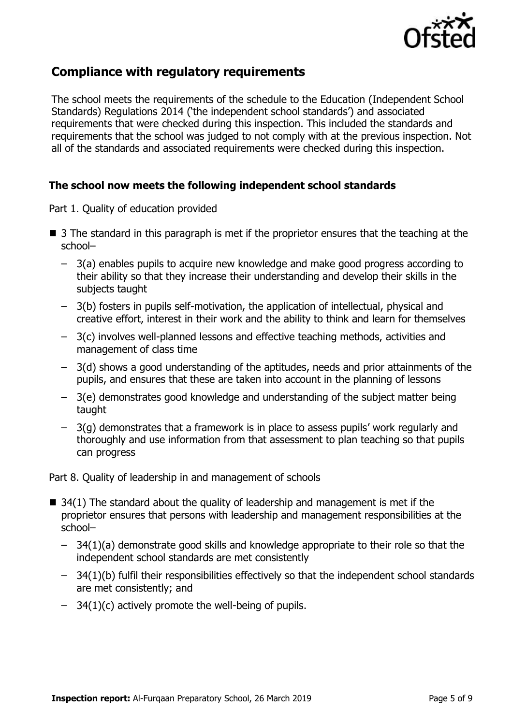

## **Compliance with regulatory requirements**

The school meets the requirements of the schedule to the Education (Independent School Standards) Regulations 2014 ('the independent school standards') and associated requirements that were checked during this inspection. This included the standards and requirements that the school was judged to not comply with at the previous inspection. Not all of the standards and associated requirements were checked during this inspection.

#### **The school now meets the following independent school standards**

Part 1. Quality of education provided

- 3 The standard in this paragraph is met if the proprietor ensures that the teaching at the school–
	- 3(a) enables pupils to acquire new knowledge and make good progress according to their ability so that they increase their understanding and develop their skills in the subjects taught
	- 3(b) fosters in pupils self-motivation, the application of intellectual, physical and creative effort, interest in their work and the ability to think and learn for themselves
	- 3(c) involves well-planned lessons and effective teaching methods, activities and management of class time
	- 3(d) shows a good understanding of the aptitudes, needs and prior attainments of the pupils, and ensures that these are taken into account in the planning of lessons
	- 3(e) demonstrates good knowledge and understanding of the subject matter being taught
	- 3(g) demonstrates that a framework is in place to assess pupils' work regularly and thoroughly and use information from that assessment to plan teaching so that pupils can progress

Part 8. Quality of leadership in and management of schools

- $\blacksquare$  34(1) The standard about the quality of leadership and management is met if the proprietor ensures that persons with leadership and management responsibilities at the school–
	- 34(1)(a) demonstrate good skills and knowledge appropriate to their role so that the independent school standards are met consistently
	- 34(1)(b) fulfil their responsibilities effectively so that the independent school standards are met consistently; and
	- $-$  34(1)(c) actively promote the well-being of pupils.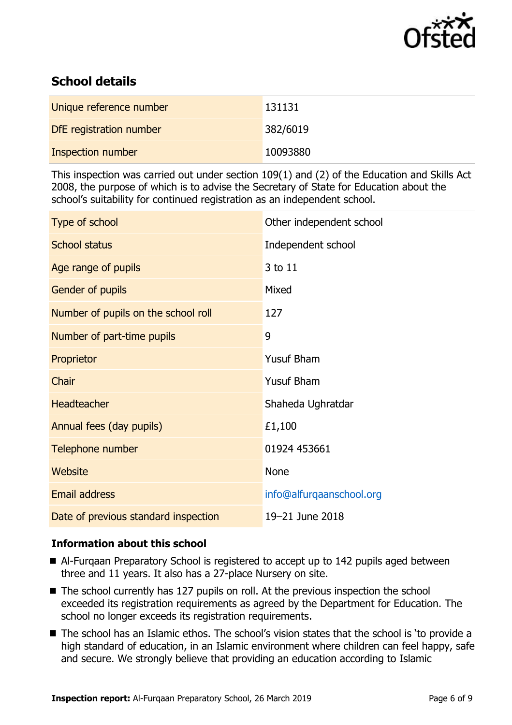

## **School details**

| Unique reference number | 131131   |
|-------------------------|----------|
| DfE registration number | 382/6019 |
| Inspection number       | 10093880 |

This inspection was carried out under section 109(1) and (2) of the Education and Skills Act 2008, the purpose of which is to advise the Secretary of State for Education about the school's suitability for continued registration as an independent school.

| Type of school                       | Other independent school |
|--------------------------------------|--------------------------|
| <b>School status</b>                 | Independent school       |
| Age range of pupils                  | 3 to 11                  |
| Gender of pupils                     | Mixed                    |
| Number of pupils on the school roll  | 127                      |
| Number of part-time pupils           | 9                        |
| Proprietor                           | <b>Yusuf Bham</b>        |
| Chair                                | <b>Yusuf Bham</b>        |
| <b>Headteacher</b>                   | Shaheda Ughratdar        |
| Annual fees (day pupils)             | £1,100                   |
| Telephone number                     | 01924 453661             |
| <b>Website</b>                       | <b>None</b>              |
| <b>Email address</b>                 | info@alfurqaanschool.org |
| Date of previous standard inspection | 19-21 June 2018          |

### **Information about this school**

- Al-Furgaan Preparatory School is registered to accept up to 142 pupils aged between three and 11 years. It also has a 27-place Nursery on site.
- The school currently has 127 pupils on roll. At the previous inspection the school exceeded its registration requirements as agreed by the Department for Education. The school no longer exceeds its registration requirements.
- The school has an Islamic ethos. The school's vision states that the school is 'to provide a high standard of education, in an Islamic environment where children can feel happy, safe and secure. We strongly believe that providing an education according to Islamic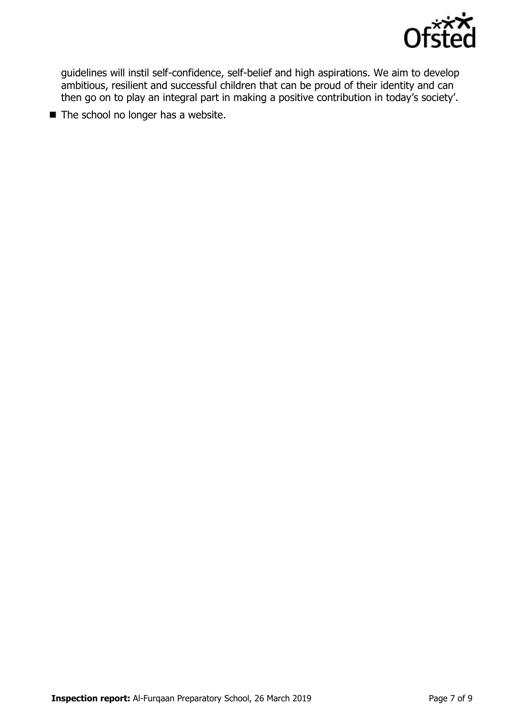

guidelines will instil self-confidence, self-belief and high aspirations. We aim to develop ambitious, resilient and successful children that can be proud of their identity and can then go on to play an integral part in making a positive contribution in today's society'.

 $\blacksquare$  The school no longer has a website.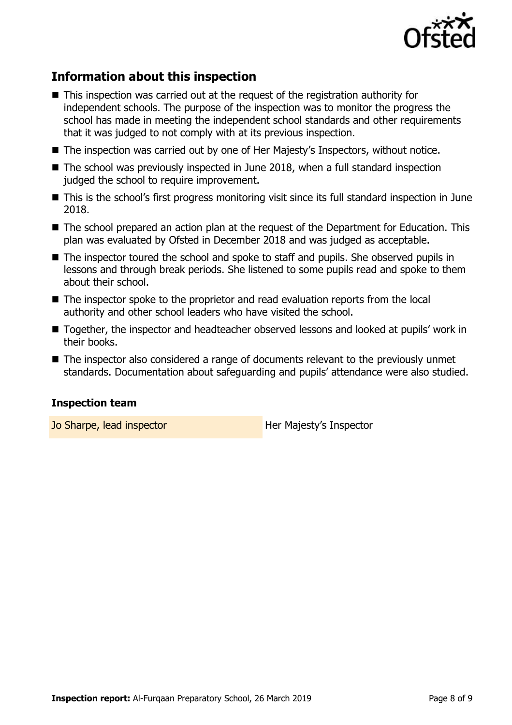

## **Information about this inspection**

- This inspection was carried out at the request of the registration authority for independent schools. The purpose of the inspection was to monitor the progress the school has made in meeting the independent school standards and other requirements that it was judged to not comply with at its previous inspection.
- The inspection was carried out by one of Her Majesty's Inspectors, without notice.
- The school was previously inspected in June 2018, when a full standard inspection judged the school to require improvement.
- This is the school's first progress monitoring visit since its full standard inspection in June 2018.
- The school prepared an action plan at the request of the Department for Education. This plan was evaluated by Ofsted in December 2018 and was judged as acceptable.
- The inspector toured the school and spoke to staff and pupils. She observed pupils in lessons and through break periods. She listened to some pupils read and spoke to them about their school.
- The inspector spoke to the proprietor and read evaluation reports from the local authority and other school leaders who have visited the school.
- Together, the inspector and headteacher observed lessons and looked at pupils' work in their books.
- The inspector also considered a range of documents relevant to the previously unmet standards. Documentation about safeguarding and pupils' attendance were also studied.

#### **Inspection team**

Jo Sharpe, lead inspector **Her Majesty's Inspector**